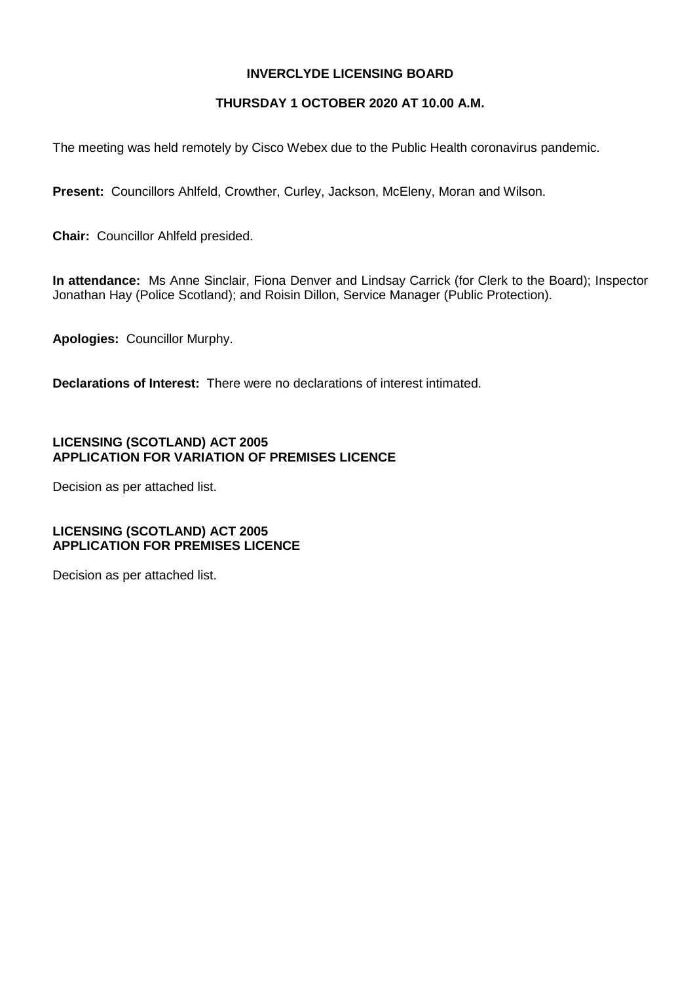## **INVERCLYDE LICENSING BOARD**

## **THURSDAY 1 OCTOBER 2020 AT 10.00 A.M.**

The meeting was held remotely by Cisco Webex due to the Public Health coronavirus pandemic.

**Present:** Councillors Ahlfeld, Crowther, Curley, Jackson, McEleny, Moran and Wilson.

**Chair:** Councillor Ahlfeld presided.

**In attendance:** Ms Anne Sinclair, Fiona Denver and Lindsay Carrick (for Clerk to the Board); Inspector Jonathan Hay (Police Scotland); and Roisin Dillon, Service Manager (Public Protection).

**Apologies:** Councillor Murphy.

**Declarations of Interest:** There were no declarations of interest intimated.

## **LICENSING (SCOTLAND) ACT 2005 APPLICATION FOR VARIATION OF PREMISES LICENCE**

Decision as per attached list.

## **LICENSING (SCOTLAND) ACT 2005 APPLICATION FOR PREMISES LICENCE**

Decision as per attached list.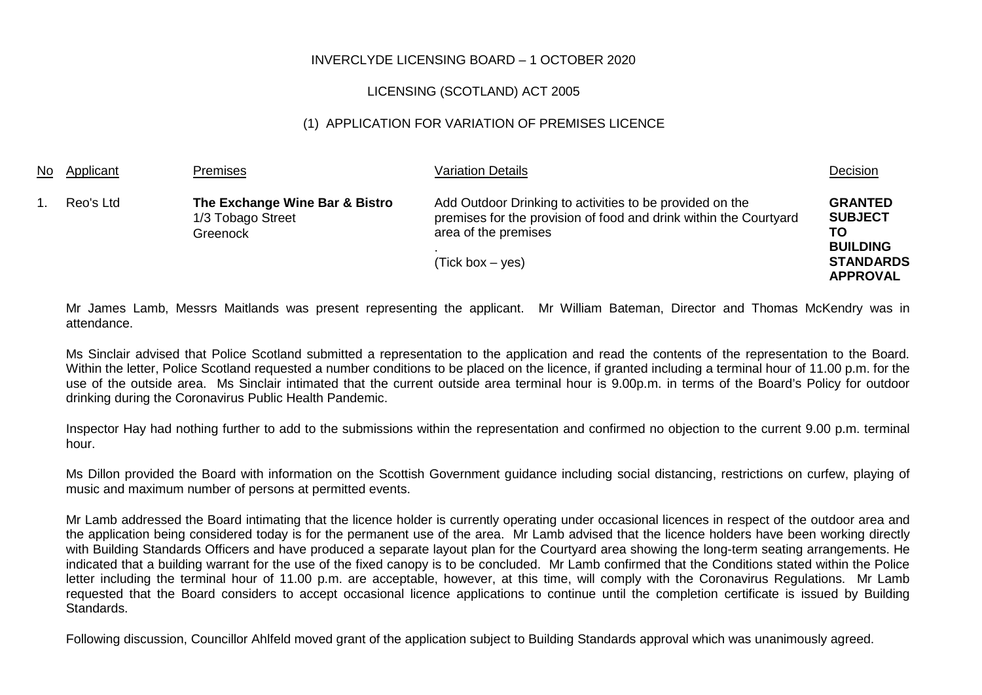## INVERCLYDE LICENSING BOARD – 1 OCTOBER 2020

## LICENSING (SCOTLAND) ACT 2005

## (1) APPLICATION FOR VARIATION OF PREMISES LICENCE

| No Applicant | <b>Premises</b>                                                 | <b>Variation Details</b>                                                                                                                                                    | Decision                                                                                         |
|--------------|-----------------------------------------------------------------|-----------------------------------------------------------------------------------------------------------------------------------------------------------------------------|--------------------------------------------------------------------------------------------------|
| Reo's Ltd    | The Exchange Wine Bar & Bistro<br>1/3 Tobago Street<br>Greenock | Add Outdoor Drinking to activities to be provided on the<br>premises for the provision of food and drink within the Courtyard<br>area of the premises<br>$(Tick box - yes)$ | <b>GRANTED</b><br><b>SUBJECT</b><br>TO<br><b>BUILDING</b><br><b>STANDARDS</b><br><b>APPROVAL</b> |

Mr James Lamb, Messrs Maitlands was present representing the applicant. Mr William Bateman, Director and Thomas McKendry was in attendance.

Ms Sinclair advised that Police Scotland submitted a representation to the application and read the contents of the representation to the Board. Within the letter, Police Scotland requested a number conditions to be placed on the licence, if granted including a terminal hour of 11.00 p.m. for the use of the outside area. Ms Sinclair intimated that the current outside area terminal hour is 9.00p.m. in terms of the Board's Policy for outdoor drinking during the Coronavirus Public Health Pandemic.

Inspector Hay had nothing further to add to the submissions within the representation and confirmed no objection to the current 9.00 p.m. terminal hour.

Ms Dillon provided the Board with information on the Scottish Government guidance including social distancing, restrictions on curfew, playing of music and maximum number of persons at permitted events.

Mr Lamb addressed the Board intimating that the licence holder is currently operating under occasional licences in respect of the outdoor area and the application being considered today is for the permanent use of the area. Mr Lamb advised that the licence holders have been working directly with Building Standards Officers and have produced a separate layout plan for the Courtyard area showing the long-term seating arrangements. He indicated that a building warrant for the use of the fixed canopy is to be concluded. Mr Lamb confirmed that the Conditions stated within the Police letter including the terminal hour of 11.00 p.m. are acceptable, however, at this time, will comply with the Coronavirus Regulations. Mr Lamb requested that the Board considers to accept occasional licence applications to continue until the completion certificate is issued by Building Standards.

Following discussion, Councillor Ahlfeld moved grant of the application subject to Building Standards approval which was unanimously agreed.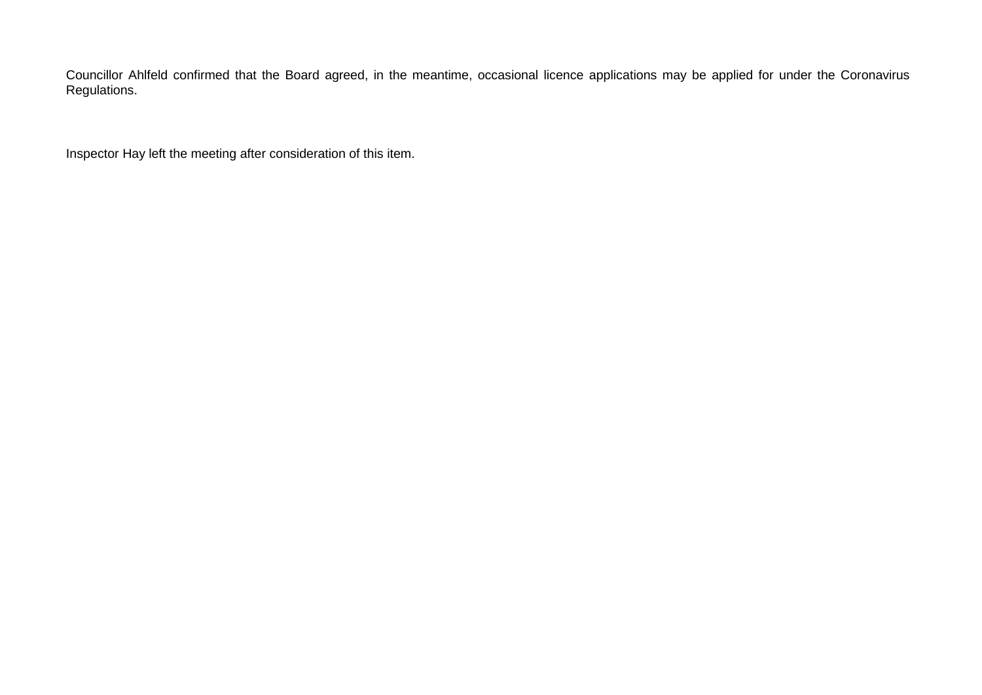Councillor Ahlfeld confirmed that the Board agreed, in the meantime, occasional licence applications may be applied for under the Coronavirus Regulations.

Inspector Hay left the meeting after consideration of this item.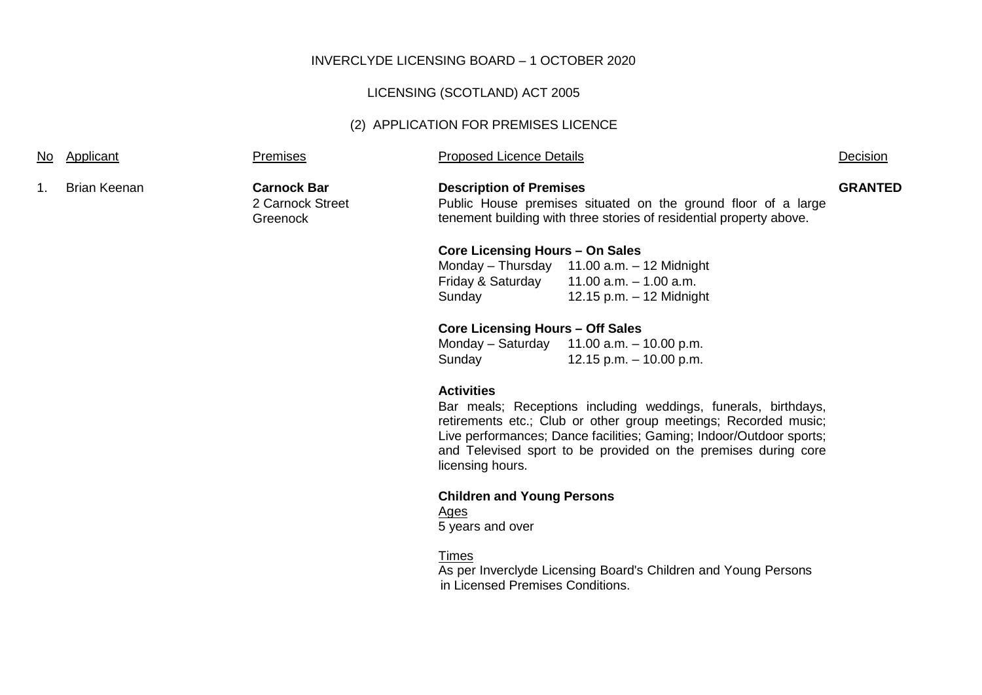#### INVERCLYDE LICENSING BOARD – 1 OCTOBER 2020

## LICENSING (SCOTLAND) ACT 2005

## (2) APPLICATION FOR PREMISES LICENCE

#### Premises **Proposed Licence Details Proposed Licence Details Decision**

| <b>Brian Keenan</b><br>и<br>п. |  |
|--------------------------------|--|
|--------------------------------|--|

**Carnock Bar** 2 Carnock Street Greenock

**Description of Premises** Public House premises situated on the ground floor of a large tenement building with three stories of residential property above.

# **GRANTED**

## **Core Licensing Hours – On Sales**

Monday – Thursday 11.00 a.m. – 12 Midnight<br>Friday & Saturday 11.00 a.m. – 1.00 a.m.  $11.00$  a.m.  $-1.00$  a.m. Sunday 12.15 p.m. – 12 Midnight

## **Core Licensing Hours – Off Sales**

Monday – Saturday 11.00 a.m. – 10.00 p.m. Sunday 12.15 p.m. – 10.00 p.m.

#### **Activities**

Bar meals; Receptions including weddings, funerals, birthdays, retirements etc.; Club or other group meetings; Recorded music; Live performances; Dance facilities; Gaming; Indoor/Outdoor sports; and Televised sport to be provided on the premises during core licensing hours.

## **Children and Young Persons**

## Ages

5 years and over

## Times

As per Inverclyde Licensing Board's Children and Young Persons in Licensed Premises Conditions.